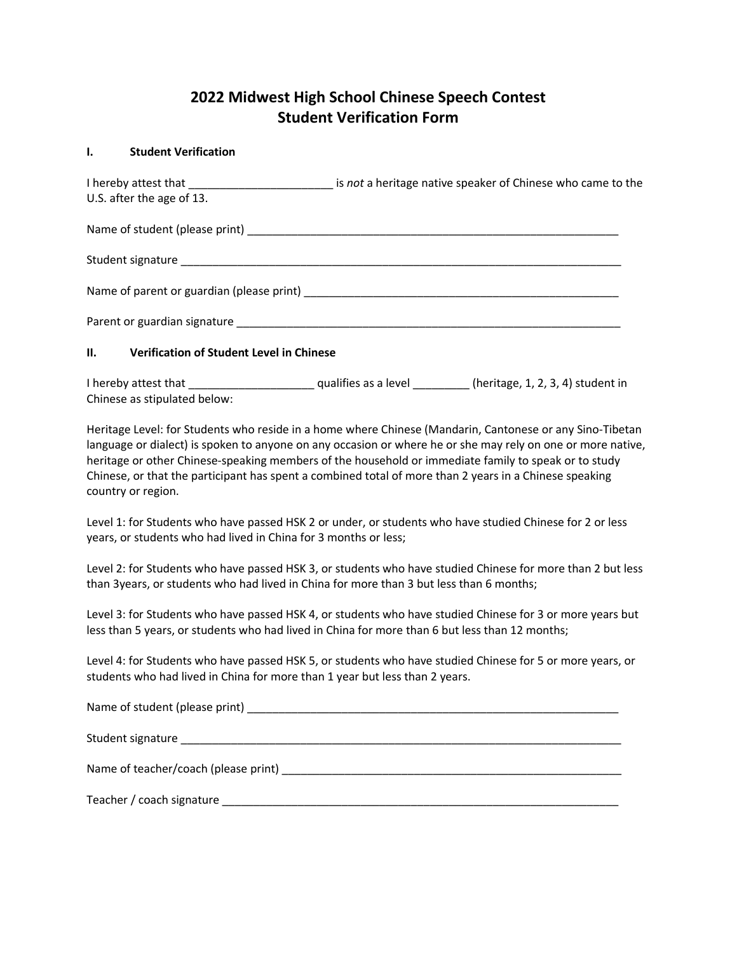## **2022 Midwest High School Chinese Speech Contest Student Verification Form**

## **I. Student Verification**

| U.S. after the age of 13.                              |                                                                                                                                                                                                                                |
|--------------------------------------------------------|--------------------------------------------------------------------------------------------------------------------------------------------------------------------------------------------------------------------------------|
|                                                        |                                                                                                                                                                                                                                |
|                                                        |                                                                                                                                                                                                                                |
|                                                        | Name of parent or guardian (please print) example and all the set of part of the set of the set of the set of the set of the set of the set of the set of the set of the set of the set of the set of the set of the set of th |
|                                                        | Parent or guardian signature experience and the contract of the contract of the contract of the contract of the                                                                                                                |
| II.<br><b>Verification of Student Level in Chinese</b> |                                                                                                                                                                                                                                |

I hereby attest that \_\_\_\_\_\_\_\_\_\_\_\_\_\_\_\_\_\_\_\_ qualifies as a level \_\_\_\_\_\_\_\_\_ (heritage, 1, 2, 3, 4) student in Chinese as stipulated below:

Heritage Level: for Students who reside in a home where Chinese (Mandarin, Cantonese or any Sino-Tibetan language or dialect) is spoken to anyone on any occasion or where he or she may rely on one or more native, heritage or other Chinese-speaking members of the household or immediate family to speak or to study Chinese, or that the participant has spent a combined total of more than 2 years in a Chinese speaking country or region.

Level 1: for Students who have passed HSK 2 or under, or students who have studied Chinese for 2 or less years, or students who had lived in China for 3 months or less;

Level 2: for Students who have passed HSK 3, or students who have studied Chinese for more than 2 but less than 3years, or students who had lived in China for more than 3 but less than 6 months;

Level 3: for Students who have passed HSK 4, or students who have studied Chinese for 3 or more years but less than 5 years, or students who had lived in China for more than 6 but less than 12 months;

Level 4: for Students who have passed HSK 5, or students who have studied Chinese for 5 or more years, or students who had lived in China for more than 1 year but less than 2 years.

Name of student (please print) **with a student of student of students**  $\mathbf{Q}$ Student signature et al. The student signature et al. The student signature et al. The student signature et al. The student signature et al. The student signature et al. The student signature et al. The student signature e Name of teacher/coach (please print) \_\_\_\_\_\_\_\_\_\_\_\_\_\_\_\_\_\_\_\_\_\_\_\_\_\_\_\_\_\_\_\_\_\_\_\_\_\_\_\_\_\_\_\_\_\_\_\_\_\_\_\_\_\_ Teacher / coach signature \_\_\_\_\_\_\_\_\_\_\_\_\_\_\_\_\_\_\_\_\_\_\_\_\_\_\_\_\_\_\_\_\_\_\_\_\_\_\_\_\_\_\_\_\_\_\_\_\_\_\_\_\_\_\_\_\_\_\_\_\_\_\_